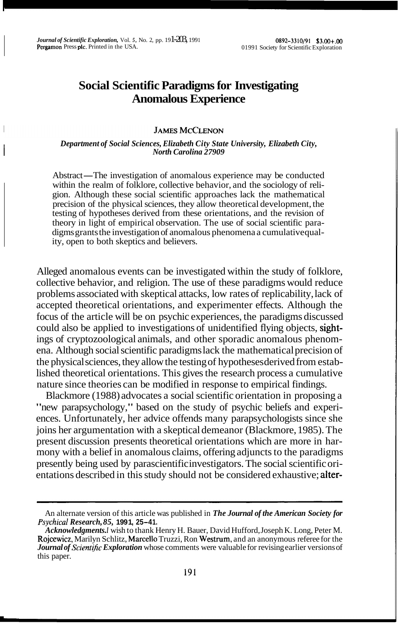# **Social Scientific Paradigms for Investigating Anomalous Experience**

### **JAMES MCCLENON**

#### I *Department of Social Sciences, Elizabeth City State University, Elizabeth City, North Carolina 27909*

Abstract—The investigation of anomalous experience may be conducted within the realm of folklore, collective behavior, and the sociology of religion. Although these social scientific approaches lack the mathematical precision of the physical sciences, they allow theoretical development, the testing of hypotheses derived from these orientations, and the revision of theory in light of empirical observation. The use of social scientific paradigms grants the investigation of anomalous phenomena a cumulative quality, open to both skeptics and believers.

Alleged anomalous events can be investigated within the study of folklore, collective behavior, and religion. The use of these paradigms would reduce problems associated with skeptical attacks, low rates of replicability, lack of accepted theoretical orientations, and experimenter effects. Although the focus of the article will be on psychic experiences, the paradigms discussed could also be applied to investigations of unidentified flying objects, sightings of cryptozoological animals, and other sporadic anomalous phenomena. Although social scientific paradigms lack the mathematical precision of the physical sciences, they allow the testing of hypotheses derived from established theoretical orientations. This gives the research process a cumulative nature since theories can be modified in response to empirical findings.

Blackmore (1988) advocates a social scientific orientation in proposing a "new parapsychology," based on the study of psychic beliefs and experiences. Unfortunately, her advice offends many parapsychologists since she joins her argumentation with a skeptical demeanor (Blackmore, 1985). The present discussion presents theoretical orientations which are more in harmony with a belief in anomalous claims, offering adjuncts to the paradigms presently being used by parascientific investigators. The social scientific orientations described in this study should not be considered exhaustive; alter-

An alternate version of this article was published in *The Journal of the American Society for Psychical Research, 85,* **199 1, 25-4 1.** 

*Acknowledgments. I* wish to thank Henry H. Bauer, David Hufford, Joseph K. Long, Peter M. Rojcewicz, Marilyn Schlitz, Marcello Truzzi, Ron Westrum, and an anonymous referee for the *Journal of Scientific Exploration* whose comments were valuable for revising earlier versions of this paper.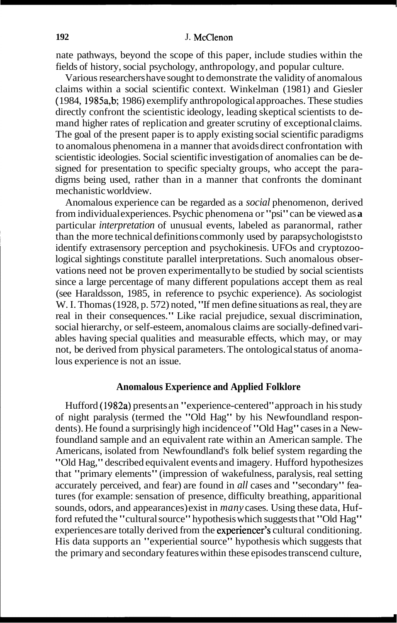nate pathways, beyond the scope of this paper, include studies within the fields of history, social psychology, anthropology, and popular culture.

Various researchers have sought to demonstrate the validity of anomalous claims within a social scientific context. Winkelman (1981) and Giesler ( 1984, 1985a,b; 1986) exemplify anthropological approaches. These studies directly confront the scientistic ideology, leading skeptical scientists to demand higher rates of replication and greater scrutiny of exceptional claims. The goal of the present paper is to apply existing social scientific paradigms to anomalous phenomena in a manner that avoids direct confrontation with scientistic ideologies. Social scientific investigation of anomalies can be designed for presentation to specific specialty groups, who accept the paradigms being used, rather than in a manner that confronts the dominant mechanistic worldview.

Anomalous experience can be regarded as a *social* phenomenon, derived from individual experiences. Psychic phenomena or "psi" can be viewed as **<sup>a</sup>** particular *interpretation* of unusual events, labeled as paranormal, rather than the more technical definitions commonly used by parapsychologists to identify extrasensory perception and psychokinesis. UFOs and cryptozoological sightings constitute parallel interpretations. Such anomalous observations need not be proven experimentally to be studied by social scientists since a large percentage of many different populations accept them as real (see Haraldsson, 1985, in reference to psychic experience). As sociologist W. I. Thomas (1928, p. 572) noted, "If men define situations as real, they are real in their consequences." Like racial prejudice, sexual discrimination, social hierarchy, or self-esteem, anomalous claims are socially-defined variables having special qualities and measurable effects, which may, or may not, be derived from physical parameters. The ontological status of anomalous experience is not an issue.

#### **Anomalous Experience and Applied Folklore**

Hufford (1982a) presents an "experience-centered" approach in his study of night paralysis (termed the "Old Hag" by his Newfoundland respondents). He found a surprisingly high incidence of "Old Hag" cases in a Newfoundland sample and an equivalent rate within an American sample. The Americans, isolated from Newfoundland's folk belief system regarding the "Old Hag," described equivalent events and imagery. Hufford hypothesizes that "primary elements" (impression of wakefulness, paralysis, real setting accurately perceived, and fear) are found in *all* cases and "secondary" features (for example: sensation of presence, difficulty breathing, apparitional sounds, odors, and appearances) exist in *many* cases. Using these data, Hufford refuted the "cultural source" hypothesis which suggests that "Old Hag" experiences are totally derived from the experiencer's cultural conditioning. His data supports an "experiential source" hypothesis which suggests that the primary and secondary features within these episodes transcend culture,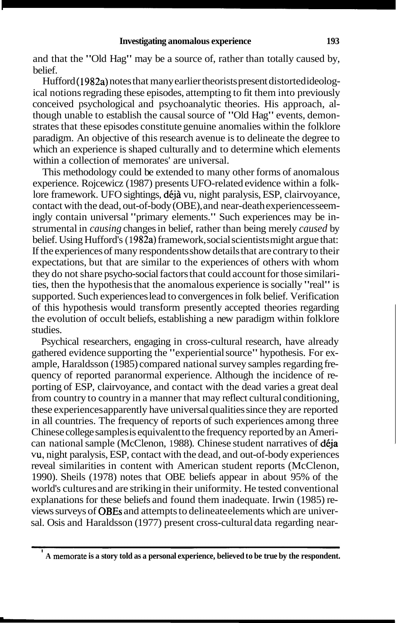and that the "Old Hag" may be a source of, rather than totally caused by, belief.

Hufford (1982a) notes that many earlier theorists present distorted ideological notions regrading these episodes, attempting to fit them into previously conceived psychological and psychoanalytic theories. His approach, although unable to establish the causal source of "Old Hag" events, demonstrates that these episodes constitute genuine anomalies within the folklore paradigm. An objective of this research avenue is to delineate the degree to which an experience is shaped culturally and to determine which elements within a collection of memorates' are universal.

This methodology could be extended to many other forms of anomalous experience. Rojcewicz (1987) presents UFO-related evidence within a folklore framework. UFO sightings, déjà vu, night paralysis, ESP, clairvoyance, contact with the dead, out-of-body (OBE), and near-death experiences seemingly contain universal "primary elements." Such experiences may be instrumental in *causing* changes in belief, rather than being merely *caused* by belief. Using Hufford's (1982a) framework, social scientists might argue that: If the experiences of many respondents show details that are contrary to their expectations, but that are similar to the experiences of others with whom they do not share psycho-social factors that could account for those similarities, then the hypothesis that the anomalous experience is socially "real" is supported. Such experiences lead to convergences in folk belief. Verification of this hypothesis would transform presently accepted theories regarding the evolution of occult beliefs, establishing a new paradigm within folklore studies.

Psychical researchers, engaging in cross-cultural research, have already gathered evidence supporting the "experiential source" hypothesis. For example, Haraldsson (1985) compared national survey samples regarding frequency of reported paranormal experience. Although the incidence of reporting of ESP, clairvoyance, and contact with the dead varies a great deal from country to country in a manner that may reflect cultural conditioning, these experiences apparently have universal qualities since they are reported in all countries. The frequency of reports of such experiences among three Chinese college samples is equivalent to the frequency reported by an American national sample (McClenon, 1988). Chinese student narratives of déja **vu,** night paralysis, ESP, contact with the dead, and out-of-body experiences reveal similarities in content with American student reports (McClenon, 1990). Sheils (1978) notes that OBE beliefs appear in about 95% of the world's cultures and are striking in their uniformity. He tested conventional explanations for these beliefs and found them inadequate. Irwin (1985) reviews surveys of OBEs and attempts to delineate elements which are universal. Osis and Haraldsson (1977) present cross-cultural data regarding near-

<sup>&#</sup>x27; **A memorate is a story told as a personal experience, believed to be true by the respondent.**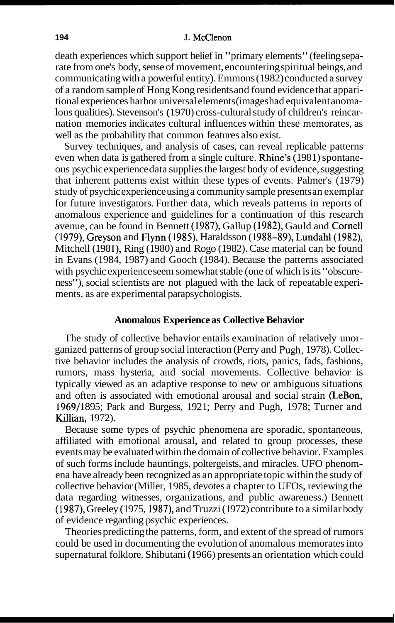#### **194 J.** McClenon

death experiences which support belief in "primary elements" (feeling separate from one's body, sense of movement, encountering spiritual beings, and communicating with a powerful entity). Emmons (1982) conducted a survey of a random sample of Hong Kong residents and found evidence that apparitional experiences harbor universal elements (images had equivalent anomalous qualities). Stevenson's ( 1970) cross-cultural study of children's reincarnation memories indicates cultural influences within these memorates, as well as the probability that common features also exist.

Survey techniques, and analysis of cases, can reveal replicable patterns even when data is gathered from a single culture. **Rhine's**  $(1981)$  spontaneous psychic experience data supplies the largest body of evidence, suggesting that inherent patterns exist within these types of events. Palmer's (1979) study of psychic experience using a community sample presents an exemplar for future investigators. Further data, which reveals patterns in reports of anomalous experience and guidelines for a continuation of this research avenue, can be found in Bennett (1987), Gallup (1982), Gauld and Cornell (1979), Greyson and Flynn (1985), Haraldsson (1988–89), Lundahl (1982), Mitchell (1981), Ring (1980) and Rogo (1982). Case material can be found in Evans (1984, 1987) and Gooch (1984). Because the patterns associated with psychic experience seem somewhat stable (one of which is its "obscureness"), social scientists are not plagued with the lack of repeatable experiments, as are experimental parapsychologists.

#### **Anomalous Experience as Collective Behavior**

The study of collective behavior entails examination of relatively unorganized patterns of group social interaction (Perry and **Pugh,** 1978). Collective behavior includes the analysis of crowds, riots, panics, fads, fashions, rumors, mass hysteria, and social movements. Collective behavior is typically viewed as an adaptive response to new or ambiguous situations and often is associated with emotional arousal and social strain (LeBon, 1969/1895; Park and Burgess, 1921; Perry and Pugh, 1978; Turner and Killian, 1972).

Because some types of psychic phenomena are sporadic, spontaneous, affiliated with emotional arousal, and related to group processes, these events may be evaluated within the domain of collective behavior. Examples of such forms include hauntings, poltergeists, and miracles. UFO phenomena have already been recognized as an appropriate topic within the study of collective behavior (Miller, 1985, devotes a chapter to UFOs, reviewing the data regarding witnesses, organizations, and public awareness.) Bennett (1987), Greeley (1975, 1987), and Truzzi (1972) contribute to a similar body of evidence regarding psychic experiences.

Theories predicting the patterns, form, and extent of the spread of rumors could be used in documenting the evolution of anomalous memorates into supernatural folklore. Shibutani (1966) presents an orientation which could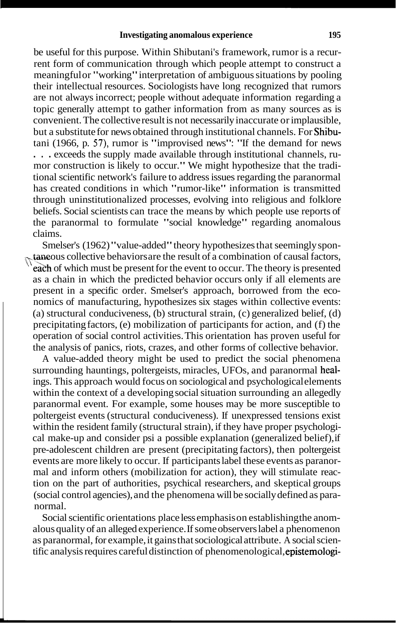be useful for this purpose. Within Shibutani's framework, rumor is a recurrent form of communication through which people attempt to construct a meaningful or "working" interpretation of ambiguous situations by pooling their intellectual resources. Sociologists have long recognized that rumors are not always incorrect; people without adequate information regarding a topic generally attempt to gather information from as many sources as is convenient. The collective result is not necessarily inaccurate or implausible, but a substitute for news obtained through institutional channels. For Shibutani (1966, p. **57),** rumor is "improvised news": "If the demand for news . . . exceeds the supply made available through institutional channels, rumor construction is likely to occur." We might hypothesize that the traditional scientific network's failure to address issues regarding the paranormal has created conditions in which "rumor-like" information is transmitted through uninstitutionalized processes, evolving into religious and folklore beliefs. Social scientists can trace the means by which people use reports of the paranormal to formulate "social knowledge" regarding anomalous claims.

Smelser's (1962) "value-added" theory hypothesizes that seemingly spon- $\star$ taneous collective behaviors are the result of a combination of causal factors, each of which must be present for the event to occur. The theory is presented as a chain in which the predicted behavior occurs only if all elements are present in a specific order. Smelser's approach, borrowed from the economics of manufacturing, hypothesizes six stages within collective events: (a) structural conduciveness, (b) structural strain, (c) generalized belief, (d) precipitating factors, (e) mobilization of participants for action, and (f) the operation of social control activities. This orientation has proven useful for the analysis of panics, riots, crazes, and other forms of collective behavior.

A value-added theory might be used to predict the social phenomena surrounding hauntings, poltergeists, miracles, UFOs, and paranormal healings. This approach would focus on sociological and psychological elements within the context of a developing social situation surrounding an allegedly paranormal event. For example, some houses may be more susceptible to poltergeist events (structural conduciveness). If unexpressed tensions exist within the resident family (structural strain), if they have proper psychological make-up and consider psi a possible explanation (generalized belief), if pre-adolescent children are present (precipitating factors), then poltergeist events are more likely to occur. If participants label these events as paranormal and inform others (mobilization for action), they will stimulate reaction on the part of authorities, psychical researchers, and skeptical groups (social control agencies), and the phenomena will be socially defined as paranormal.

Social scientific orientations place less emphasis on establishing the anomalous quality of an alleged experience. If some observers label a phenomenon as paranormal, for example, it gains that sociological attribute. A social scientific analysis requires careful distinction of phenomenological, epistemologi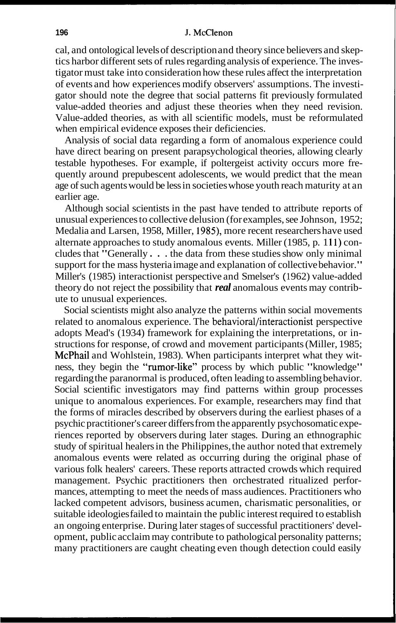cal, and ontological levels of description and theory since believers and skeptics harbor different sets of rules regarding analysis of experience. The investigator must take into consideration how these rules affect the interpretation of events and how experiences modify observers' assumptions. The investigator should note the degree that social patterns fit previously formulated value-added theories and adjust these theories when they need revision. Value-added theories, as with all scientific models, must be reformulated when empirical evidence exposes their deficiencies.

Analysis of social data regarding a form of anomalous experience could have direct bearing on present parapsychological theories, allowing clearly testable hypotheses. For example, if poltergeist activity occurs more frequently around prepubescent adolescents, we would predict that the mean age of such agents would be less in societies whose youth reach maturity at an earlier age.

Although social scientists in the past have tended to attribute reports of unusual experiences to collective delusion (for examples, see Johnson, 1952; Medalia and Larsen, 1958, Miller, 1985), more recent researchers have used alternate approaches to study anomalous events. Miller (1985, p. 111) concludes that "Generally . . . the data from these studies show only minimal support for the mass hysteria image and explanation of collective behavior." Miller's (1985) interactionist perspective and Smelser's (1962) value-added theory do not reject the possibility that *real* anomalous events may contribute to unusual experiences.

Social scientists might also analyze the patterns within social movements related to anomalous experience. The behavioral/interactionist perspective adopts Mead's (1 934) framework for explaining the interpretations, or instructions for response, of crowd and movement participants (Miller, 1985; McPhail and Wohlstein, 1983). When participants interpret what they witness, they begin the "rumor-like" process by which public "knowledge" regarding the paranormal is produced, often leading to assembling behavior. Social scientific investigators may find patterns within group processes unique to anomalous experiences. For example, researchers may find that the forms of miracles described by observers during the earliest phases of a psychic practitioner's career differs from the apparently psychosomatic experiences reported by observers during later stages. During an ethnographic study of spiritual healers in the Philippines, the author noted that extremely anomalous events were related as occurring during the original phase of various folk healers' careers. These reports attracted crowds which required management. Psychic practitioners then orchestrated ritualized performances, attempting to meet the needs of mass audiences. Practitioners who lacked competent advisors, business acumen, charismatic personalities, or suitable ideologies failed to maintain the public interest required to establish an ongoing enterprise. During later stages of successful practitioners' development, public acclaim may contribute to pathological personality patterns; many practitioners are caught cheating even though detection could easily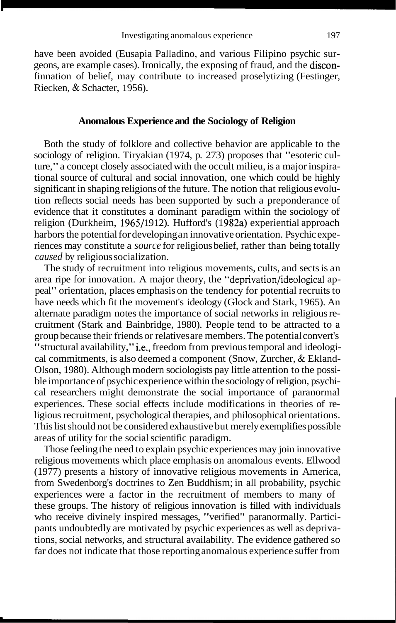have been avoided (Eusapia Palladino, and various Filipino psychic surgeons, are example cases). Ironically, the exposing of fraud, and the disconfinnation of belief, may contribute to increased proselytizing (Festinger, Riecken, & Schacter, 1956).

# **Anomalous Experience and the Sociology of Religion**

Both the study of folklore and collective behavior are applicable to the sociology of religion. Tiryakian (1974, p. 273) proposes that "esoteric culture," a concept closely associated with the occult milieu, is a major inspirational source of cultural and social innovation, one which could be highly significant in shaping religions of the future. The notion that religious evolution reflects social needs has been supported by such a preponderance of evidence that it constitutes a dominant paradigm within the sociology of religion (Durkheim, 1965/1912). Hufford's (1982a) experiential approach harbors the potential for developing an innovative orientation. Psychic experiences may constitute a *source* for religious belief, rather than being totally *caused* by religious socialization.

The study of recruitment into religious movements, cults, and sects is an area ripe for innovation. A major theory, the "deprivation/ideological appeal" orientation, places emphasis on the tendency for potential recruits to have needs which fit the movement's ideology (Glock and Stark, 1965). An alternate paradigm notes the importance of social networks in religious recruitment (Stark and Bainbridge, 1980). People tend to be attracted to a group because their friends or relatives are members. The potential convert's "structural availability," i.e., freedom from previous temporal and ideological commitments, is also deemed a component (Snow, Zurcher, & Ekland-Olson, 1980). Although modern sociologists pay little attention to the possible importance of psychic experience within the sociology of religion, psychical researchers might demonstrate the social importance of paranormal experiences. These social effects include modifications in theories of religious recruitment, psychological therapies, and philosophical orientations. This list should not be considered exhaustive but merely exemplifies possible areas of utility for the social scientific paradigm.

Those feeling the need to explain psychic experiences may join innovative religious movements which place emphasis on anomalous events. Ellwood (1977) presents a history of innovative religious movements in America, from Swedenborg's doctrines to Zen Buddhism; in all probability, psychic experiences were a factor in the recruitment of members to many of these groups. The history of religious innovation is filled with individuals who receive divinely inspired messages, "verified" paranormally. Participants undoubtedly are motivated by psychic experiences as well as deprivations, social networks, and structural availability. The evidence gathered so far does not indicate that those reporting anomalous experience suffer from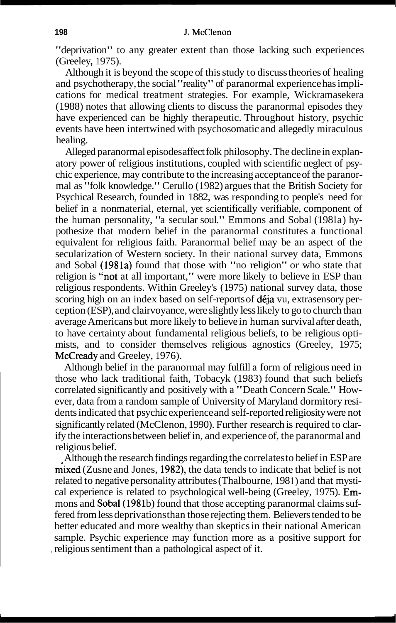"deprivation" to any greater extent than those lacking such experiences (Greeley, 1975).

Although it is beyond the scope of this study to discuss theories of healing and psychotherapy, the social "reality" of paranormal experience has implications for medical treatment strategies. For example, Wickramasekera (1988) notes that allowing clients to discuss the paranormal episodes they have experienced can be highly therapeutic. Throughout history, psychic events have been intertwined with psychosomatic and allegedly miraculous healing.

Alleged paranormal episodes affect folk philosophy. The decline in explanatory power of religious institutions, coupled with scientific neglect of psychic experience, may contribute to the increasing acceptance of the paranormal as "folk knowledge." Cerullo (1982) argues that the British Society for Psychical Research, founded in 1882, was responding to people's need for belief in a nonmaterial, eternal, yet scientifically verifiable, component of the human personality, "a secular soul." Emmons and Sobal (1981a) hypothesize that modern belief in the paranormal constitutes a functional equivalent for religious faith. Paranormal belief may be an aspect of the secularization of Western society. In their national survey data, Emmons and Sobal (1981a) found that those with "no religion" or who state that religion is "not at all important," were more likely to believe in ESP than religious respondents. Within Greeley's (1975) national survey data, those scoring high on an index based on self-reports of déja vu, extrasensory perception (ESP), and clairvoyance, were slightly less likely to go to church than average Americans but more likely to believe in human survival after death, to have certainty about fundamental religious beliefs, to be religious optimists, and to consider themselves religious agnostics (Greeley, 1975; McCready and Greeley, 1976).

Although belief in the paranormal may fulfill a form of religious need in those who lack traditional faith, Tobacyk (1983) found that such beliefs correlated significantly and positively with a "Death Concern Scale." However, data from a random sample of University of Maryland dormitory residents indicated that psychic experience and self-reported religiosity were not significantly related (McClenon, 1990). Further research is required to clarify the interactions between belief in, and experience of, the paranormal and religious belief.

Although the research findings regarding the correlates to belief in ESP are mixed (Zusne and Jones, 1982), the data tends to indicate that belief is not related to negative personality attributes (Thalbourne, 1981) and that mystical experience is related to psychological well-being (Greeley, 1975). Emmons and **Sobal** (1981b) found that those accepting paranormal claims suffered from less deprivations than those rejecting them. Believers tended to be better educated and more wealthy than skeptics in their national American sample. Psychic experience may function more as a positive support for , religious sentiment than a pathological aspect of it.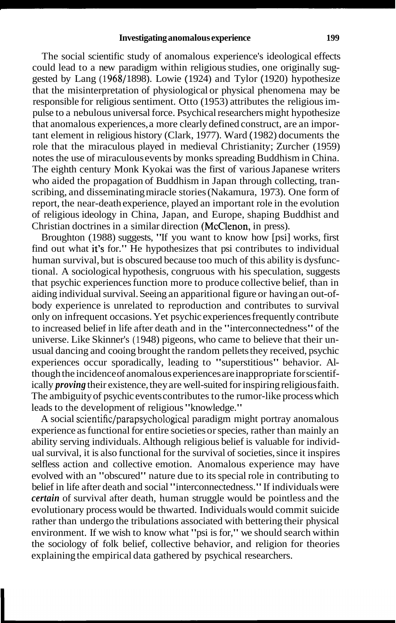The social scientific study of anomalous experience's ideological effects could lead to a new paradigm within religious studies, one originally suggested by Lang  $(1968/1898)$ . Lowie  $(1924)$  and Tylor  $(1920)$  hypothesize that the misinterpretation of physiological or physical phenomena may be responsible for religious sentiment. Otto (1953) attributes the religious impulse to a nebulous universal force. Psychical researchers might hypothesize that anomalous experiences, a more clearly defined construct, are an important element in religious history (Clark, 1977). Ward ( 1982) documents the role that the miraculous played in medieval Christianity; Zurcher (1959) notes the use of miraculous events by monks spreading Buddhism in China. The eighth century Monk Kyokai was the first of various Japanese writers who aided the propagation of Buddhism in Japan through collecting, transcribing, and disseminating miracle stories (Nakamura, 1973). One form of report, the near-death experience, played an important role in the evolution of religious ideology in China, Japan, and Europe, shaping Buddhist and Christian doctrines in a similar direction (McClenon, in press).

Broughton (1988) suggests, "If you want to know how [psi] works, first find out what it's for." He hypothesizes that psi contributes to individual human survival, but is obscured because too much of this ability is dysfunctional. A sociological hypothesis, congruous with his speculation, suggests that psychic experiences function more to produce collective belief, than in aiding individual survival. Seeing an apparitional figure or having an out-ofbody experience is unrelated to reproduction and contributes to survival only on infrequent occasions. Yet psychic experiences frequently contribute to increased belief in life after death and in the "interconnectedness" of the universe. Like Skinner's (1 948) pigeons, who came to believe that their unusual dancing and cooing brought the random pellets they received, psychic experiences occur sporadically, leading to "superstitious" behavior. Although the incidence of anomalous experiences are inappropriate for scientifically *proving* their existence, they are well-suited for inspiring religious faith. The ambiguity of psychic events contributes to the rumor-like process which leads to the development of religious "knowledge."

A social **scientific/parapsychological** paradigm might portray anomalous experience as functional for entire societies or species, rather than mainly an ability serving individuals. Although religious belief is valuable for individual survival, it is also functional for the survival of societies, since it inspires selfless action and collective emotion. Anomalous experience may have evolved with an "obscured" nature due to its special role in contributing to belief in life after death and social "interconnectedness." If individuals were *certain* of survival after death, human struggle would be pointless and the evolutionary process would be thwarted. Individuals would commit suicide rather than undergo the tribulations associated with bettering their physical environment. If we wish to know what "psi is for," we should search within the sociology of folk belief, collective behavior, and religion for theories explaining the empirical data gathered by psychical researchers.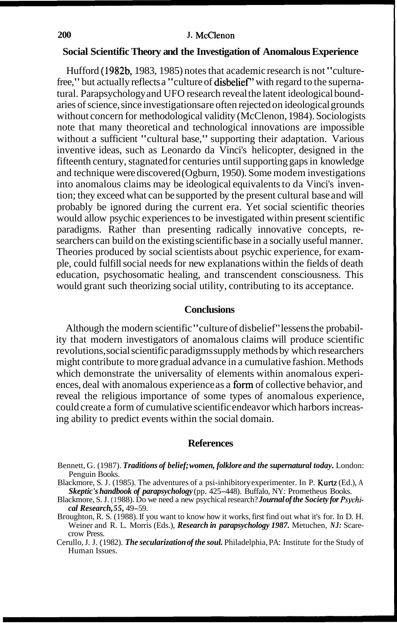#### **Social Scientific Theory and the Investigation of Anomalous Experience**

Hufford (1982b, 1983, 1985) notes that academic research is not "culturefree," but actually reflects a "culture of **disbelief**" with regard to the supernatural. Parapsychology and UFO research reveal the latent ideological boundaries of science, since investigations are often rejected on ideological grounds without concern for methodological validity (McClenon, 1984). Sociologists note that many theoretical and technological innovations are impossible without a sufficient "cultural base," supporting their adaptation. Various inventive ideas, such as Leonardo da Vinci's helicopter, designed in the fifteenth century, stagnated for centuries until supporting gaps in knowledge and technique were discovered (Ogburn, 1950). Some modem investigations into anomalous claims may be ideological equivalents to da Vinci's invention; they exceed what can be supported by the present cultural base and will probably be ignored during the current era. Yet social scientific theories would allow psychic experiences to be investigated within present scientific paradigms. Rather than presenting radically innovative concepts, researchers can build on the existing scientific base in a socially useful manner. Theories produced by social scientists about psychic experience, for example, could fulfill social needs for new explanations within the fields of death education, psychosomatic healing, and transcendent consciousness. This would grant such theorizing social utility, contributing to its acceptance.

## **Conclusions**

Although the modern scientific "culture of disbelief" lessens the probability that modern investigators of anomalous claims will produce scientific revolutions, social scientific paradigms supply methods by which researchers might contribute to more gradual advance in a cumulative fashion. Methods which demonstrate the universality of elements within anomalous experiences, deal with anomalous experience as a form of collective behavior, and reveal the religious importance of some types of anomalous experience, could create a form of cumulative scientific endeavor which harbors increasing ability to predict events within the social domain.

#### **References**

Bennett, G. (1987). *Traditions of belief; women, folklore and the supernatural today.* London: Penguin Books.

Blackmore, S. J. (1985). The adventures of a psi-inhibitory experimenter. In P. Kurtz (Ed.), A *Skeptic's handbook of parapsychology* (pp. 425-448). Buffalo, NY: Prometheus Books.

Blackmore, S. J. (1 988). Do we need a new psychical research? *Journal of the Society for Psychical Research, 55,* 49-59.

Broughton, R. S. (1988). If you want to know how it works, first find out what it's for. In D. H. Weiner and R. L. Morris (Eds.), *Research in parapsychology 1987.* Metuchen, *NJ:* Scarecrow Press.

Cerullo, J. J. ( 1982). *The secularization of the soul.* Philadelphia, PA: Institute for the Study of Human Issues.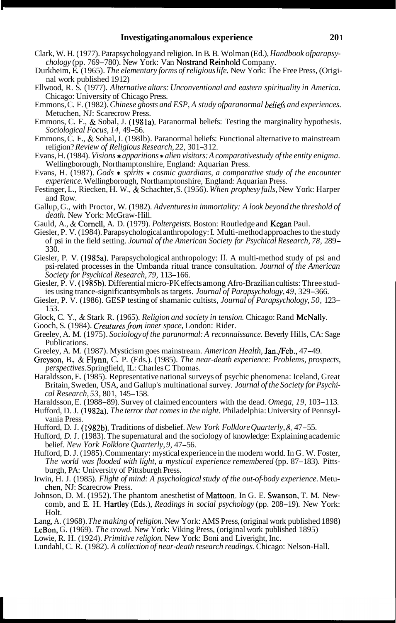- Clark, W. H. ( 1977). Parapsychology and religion. In B. B. Wolman (Ed.), *Handbook ofparapsy- chology* (pp. 769-780). New York: Van Nostrand Reinhold Company.
- Durkheim, E. (1965). *The elementary forms of religious life.* New York: The Free Press, (Original work published 19 12)
- Ellwood, R. S. (1977). *Alternative altars: Unconventional and eastern spirituality in America.*  Chicago: University of Chicago Press.
- Emmons, C. F. (1982). *Chinese ghosts and ESP*, A study ofparanormal beliefs and experiences. Metuchen, NJ: Scarecrow Press.
- Emmons, C. F., & Sobal, J. (1981a). Paranormal beliefs: Testing the marginality hypothesis. *Sociological Focus, 14,* 49-56.
- Emmons, C. F., & Sobal, J. (1981b). Paranormal beliefs: Functional alternative to mainstream religion? *Review of Religious Research, 22, 301-312.*
- Evans, H. (1984). *Visions \* apparitions \* alien visitors: A comparativestudy of the entity enigma.* Wellingborough, Northamptonshire, England: Aquarian Press.
- Evans, H. (1987). *Gods* \* *spirits* \* *cosmic guardians, a comparative study of the encounter experience.* Wellingborough, Northamptonshire, England: Aquarian Press.
- Festinger, L., Riecken, H. W., & Schachter, S. (1956). *When prophesy fails,* New York: Harper and Row.
- Gallup, G., with Proctor, W. (1982). *Adventures in immortality: A look beyond the threshold of death.* New York: McGraw-Hill.
- Gauld, A., & Cornell, A. D. (1979). *Poltergeists.* Boston: Routledge and Kegan Paul.
- Giesler, P. V. (1984). Parapsychological anthropology: I. Multi-method approaches to the study of psi in the field setting. *Journal of the American Society for Psychical Research, 78,* 289- 330.
- Giesler, P. V. (1985a). Parapsychological anthropology: **11.** A multi-method study of psi and psi-related processes in the Umbanda ritual trance consultation. *Journal of the American Society for Psychical Research, 79,* 1 13- 166.
- Giesler, P. V. (1985b). Differential micro-PK effects among Afro-Brazilian cultists: Three studies using trance-significant symbols as targets. *Journal of Parapsychology*, 49, 329–366.
- Giesler, P. V. (1986). GESP testing of shamanic cultists, *Journal of Parapsychology*, 50, 123– 153.
- Glock, C. Y., & Stark R. (1965). *Religion and society in tension.* Chicago: Rand McNally.
- Gooch, S. (1984). *Creatures from inner space*, London: Rider.
- Greeley, A. M. (1975). *Sociology of the paranormal: A reconnaissance.* Beverly Hills, CA: Sage Publications.
- Greeley, A. M. (1987). Mysticism goes mainstream. *American Health,* Jan./Feb., 47-49.
- Greyson, B., & Flynn, C. P. (Eds.). (1985). *The near-death experience: Problems, prospects, perspectives.* Springfield, IL: Charles C Thomas.
- Haraldsson, E. (1985). Representative national surveys of psychic phenomena: Iceland, Great Britain, Sweden, USA, and Gallup's multinational survey. *Journal of the Society for Psychi- cal Research, 53,* 80 1, 145- 158.
- Haraldsson, E. (1988–89). Survey of claimed encounters with the dead. *Omega*, 19, 103–113.
- Hufford, D. J. (1 982a). *The terror that comes in the night.* Philadelphia: University of Pennsylvania Press.
- Hufford, D. J. (1982b). Traditions of disbelief. *New York Folklore Quarterly, 8,* 47-55.
- Hufford, *D. J.* (1983). The supernatural and the sociology of knowledge: Explaining academic belief. *New York Folklore Quarterly, 9,* 47-56.
- Hufford, D. J. (1985). Commentary: mystical experience in the modern world. In G. W. Foster, *The world was flooded with light, a mystical experience remembered (pp. 87–183). Pitts*burgh, PA: University of Pittsburgh Press.
- Irwin, H. J. (1985). *Flight of mind: A psychological study of the out-of-body experience.* Metuchen, NJ: Scarecrow Press.
- Johnson, D. M. (1952). The phantom anesthetist of Mattoon. In G. E. Swanson, T. M. Newcomb, and E. H. Hartley (Eds.), *Readings in social psychology* (pp. 208-19). New York: Holt.
- Lang, A. (1968). *The making of religion.* New York: AMS Press, (original work published 1898) LeBon, G. (1969). *The crowd.* New York: Viking Press, (original work published 1895)

Lowie, R. H. (1924). *Primitive religion.* New York: Boni and Liveright, Inc.

Lundahl, C. R. (1982). *A collection of near-death research readings.* Chicago: Nelson-Hall.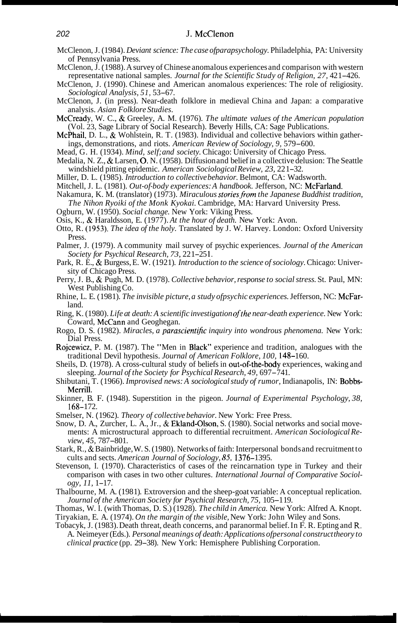- McClenon, J. (1984). *Deviant science: The case ofparapsychology.* Philadelphia, PA: University of Pennsylvania Press.
- McClenon, J. ( 1988). A survey of Chinese anomalous experiences and comparison with western representative national samples. *Journal for the Scientific Study of Religion, 27, 421-426.*
- McClenon, J. (1990). Chinese and American anomalous experiences: The role of religiosity. *Sociological Analysis, 5 1,* 53-67.
- McClenon, J. (in press). Near-death folklore in medieval China and Japan: a comparative analysis. *Asian Folklore Studies.*
- McCready, W. C., & Greeley, A. M. (1976). *The ultimate values of the American population*  (Vol. 23, Sage Library of Social Research). Beverly Hills, CA: Sage Publications.
- McPhail, D. L., & Wohlstein, R. T. (1983). Individual and collective behaviors within gatherings, demonstrations, and riots. *American Review of Sociology, 9,* 579-600.
- Mead, G. H. (1934). *Mind, self; and society.* Chicago: University of Chicago Press.
- Medalia, N. Z., & Larsen, 0. N. (1958). Diffusion and belief in a collective delusion: The Seattle windshield pitting epidemic. *American Sociological Review, 23,* 22 1-32.
- Miller, D. L. (1985). *Introduction to collective behavior.* Belmont, CA: Wadsworth.
- Mitchell, J. L. (1981). *Out-of-body experiences: A handbook*. Jefferson, NC: McFarland.
- Nakamura, K. M. (translator) (1973). *Miraculous storiesfrom the Japanese Buddhist tradition, The Nihon Ryoiki of the Monk Kyokai.* Cambridge, MA: Harvard University Press.
- Ogburn, W. (1950). *Social change.* New York: Viking Press.
- Osis, K., & Haraldsson, E. (1977). *At the hour of death.* New York: Avon.
- Otto, R. (1953). *The idea of the holy.* Translated by J. W. Harvey. London: Oxford University Press.
- Palmer, J. (1979). A community mail survey of psychic experiences. *Journal of the American Society for Psychical Research, 73,* 22 1-25 1.
- Park, R. E., & Burgess, E. W. (1921). *Introduction to the science of sociology*. Chicago: University of Chicago Press.
- Perry, J. B., & Pugh, M. D. (1978). *Collective behavior, response to social stress.* St. Paul, MN: West Publishing Co.
- Rhine, L. E. ( 198 1). *The invisible picture, a study ofpsychic experiences.* Jefferson, NC: McFarland.
- Ring, K. (1980). *Life at death: A scientific investigation ofthe near-death experience.* New York: Coward, McCann and Geoghegan.
- Rogo, D. S. (1982). *Miracles, a parascientific inquiry into wondrous phenomena*. New York: Dial Press.
- Rojcewicz, P. M. (1987). The "Men in Black" experience and tradition, analogues with the traditional Devil hypothesis. *Journal of American Folklore*, 100, 148-160.
- Sheils, D. (1978). A cross-cultural study of beliefs in out-of-the-body experiences, waking and sleeping. *Journal of the Society for Psychical Research, 49, 697–741*.
- Shibutani, T. ( 1966). *Improvised news: A sociological study of rumor,* Indianapolis, IN: Bobbs-Merrill.
- Skinner, B. F. (1948). Superstition in the pigeon. *Journal of Experimental Psychology, 38,*  168- 172.
- Smelser, N. ( 1962). *Theory of collective behavior.* New York: Free Press.
- Snow, D. A., Zurcher, L. A., Jr., & Ekland-Olson, S. (1980). Social networks and social movements: A microstructural approach to differential recruitment. *American Sociological Review, 45,* 787-801.
- Stark, R., & Bainbridge, W. S. (1 980). Networks of faith: Interpersonal bonds and recruitment to cults and sects. *American Journal of Sociology, 85,* 1376- 1395.
- Stevenson, I. (1970). Characteristics of cases of the reincarnation type in Turkey and their comparison with cases in two other cultures. *International Journal of Comparative Sociology, 11,* 1-17.
- Thalbourne, M. A. (198 1). Extroversion and the sheep-goat variable: A conceptual replication. *Journal of the American Society for Psychical Research, 75,* 105-1 19.
- Thomas, W. I. (with Thomas, D. S.) (1928). *The child in America.* New York: Alfred A. Knopt.
- Tiryakian, E. A. (1974). *On the margin of the visible,* New York: John Wiley and Sons.
- Tobacyk, J. (1983). Death threat, death concerns, and paranormal belief. In F. R. Epting and **R.**  A. Neimeyer (Eds.). *Personal meanings of death: Applications ofpersonal construct theory to clinical practice* (pp. 29-38). New York: Hemisphere Publishing Corporation.